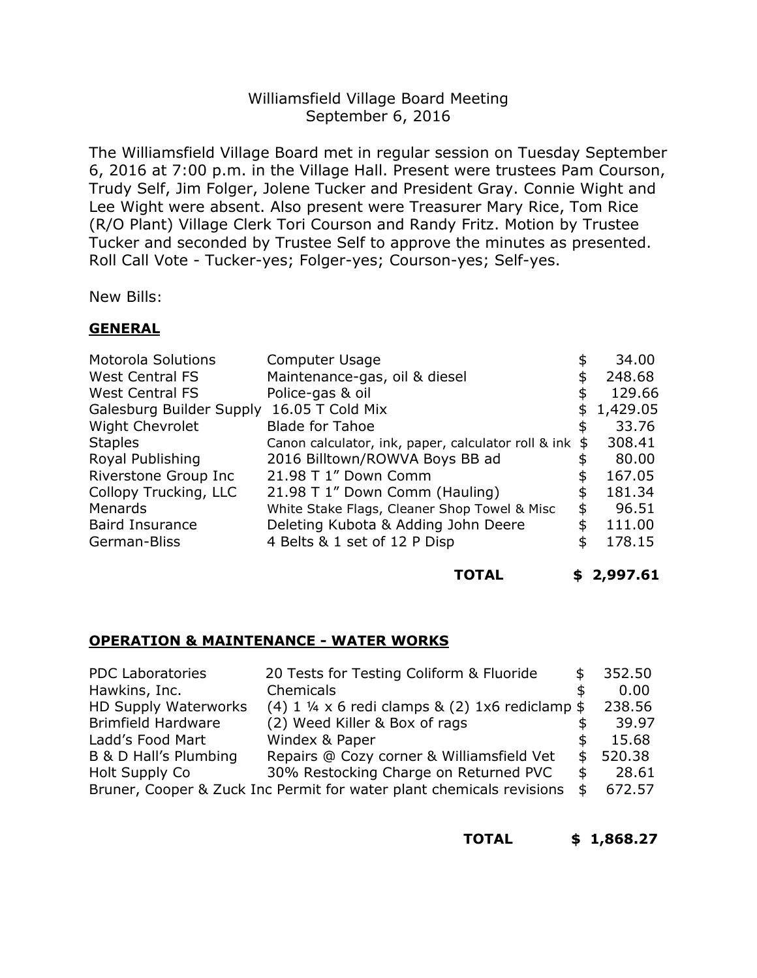## Williamsfield Village Board Meeting September 6, 2016

The Williamsfield Village Board met in regular session on Tuesday September 6, 2016 at 7:00 p.m. in the Village Hall. Present were trustees Pam Courson, Trudy Self, Jim Folger, Jolene Tucker and President Gray. Connie Wight and Lee Wight were absent. Also present were Treasurer Mary Rice, Tom Rice (R/O Plant) Village Clerk Tori Courson and Randy Fritz. Motion by Trustee Tucker and seconded by Trustee Self to approve the minutes as presented. Roll Call Vote - Tucker-yes; Folger-yes; Courson-yes; Self-yes.

New Bills:

### **GENERAL**

| <b>Motorola Solutions</b> | Computer Usage                                      |    | 34.00      |
|---------------------------|-----------------------------------------------------|----|------------|
| <b>West Central FS</b>    | Maintenance-gas, oil & diesel                       |    | 248.68     |
| <b>West Central FS</b>    | Police-gas & oil                                    | \$ | 129.66     |
| Galesburg Builder Supply  | 16.05 T Cold Mix                                    |    | \$1,429.05 |
| <b>Wight Chevrolet</b>    | <b>Blade for Tahoe</b>                              | \$ | 33.76      |
| <b>Staples</b>            | Canon calculator, ink, paper, calculator roll & ink | S  | 308.41     |
| Royal Publishing          | 2016 Billtown/ROWVA Boys BB ad                      | \$ | 80.00      |
| Riverstone Group Inc      | 21.98 T 1" Down Comm                                | \$ | 167.05     |
| Collopy Trucking, LLC     | 21.98 T 1" Down Comm (Hauling)                      | \$ | 181.34     |
| Menards                   | White Stake Flags, Cleaner Shop Towel & Misc        | \$ | 96.51      |
| <b>Baird Insurance</b>    | Deleting Kubota & Adding John Deere                 | \$ | 111.00     |
| German-Bliss              | 4 Belts & 1 set of 12 P Disp                        |    | 178.15     |
|                           |                                                     |    |            |

#### **TOTAL \$ 2,997.61**

#### **OPERATION & MAINTENANCE - WATER WORKS**

| <b>PDC Laboratories</b>   | 20 Tests for Testing Coliform & Fluoride                             |    | 352.50   |
|---------------------------|----------------------------------------------------------------------|----|----------|
| Hawkins, Inc.             | Chemicals                                                            |    | 0.00     |
| HD Supply Waterworks      | $(4)$ 1 ¼ x 6 redi clamps & $(2)$ 1x6 rediclamp \$                   |    | 238.56   |
| <b>Brimfield Hardware</b> | (2) Weed Killer & Box of rags                                        |    | 39.97    |
| Ladd's Food Mart          | Windex & Paper                                                       |    | 15.68    |
| B & D Hall's Plumbing     | Repairs @ Cozy corner & Williamsfield Vet                            |    | \$520.38 |
| Holt Supply Co            | 30% Restocking Charge on Returned PVC                                | S. | 28.61    |
|                           | Bruner, Cooper & Zuck Inc Permit for water plant chemicals revisions | S  | 672.57   |

#### **TOTAL \$ 1,868.27**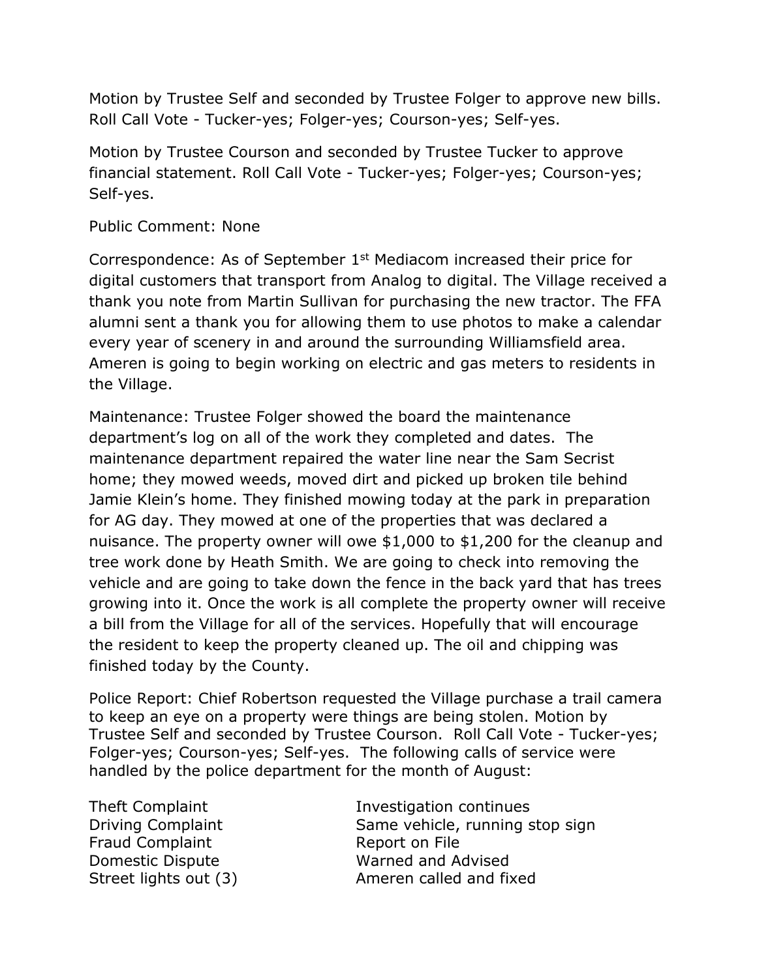Motion by Trustee Self and seconded by Trustee Folger to approve new bills. Roll Call Vote - Tucker-yes; Folger-yes; Courson-yes; Self-yes.

Motion by Trustee Courson and seconded by Trustee Tucker to approve financial statement. Roll Call Vote - Tucker-yes; Folger-yes; Courson-yes; Self-yes.

Public Comment: None

Correspondence: As of September 1<sup>st</sup> Mediacom increased their price for digital customers that transport from Analog to digital. The Village received a thank you note from Martin Sullivan for purchasing the new tractor. The FFA alumni sent a thank you for allowing them to use photos to make a calendar every year of scenery in and around the surrounding Williamsfield area. Ameren is going to begin working on electric and gas meters to residents in the Village.

Maintenance: Trustee Folger showed the board the maintenance department's log on all of the work they completed and dates. The maintenance department repaired the water line near the Sam Secrist home; they mowed weeds, moved dirt and picked up broken tile behind Jamie Klein's home. They finished mowing today at the park in preparation for AG day. They mowed at one of the properties that was declared a nuisance. The property owner will owe \$1,000 to \$1,200 for the cleanup and tree work done by Heath Smith. We are going to check into removing the vehicle and are going to take down the fence in the back yard that has trees growing into it. Once the work is all complete the property owner will receive a bill from the Village for all of the services. Hopefully that will encourage the resident to keep the property cleaned up. The oil and chipping was finished today by the County.

Police Report: Chief Robertson requested the Village purchase a trail camera to keep an eye on a property were things are being stolen. Motion by Trustee Self and seconded by Trustee Courson. Roll Call Vote - Tucker-yes; Folger-yes; Courson-yes; Self-yes. The following calls of service were handled by the police department for the month of August:

Fraud Complaint Report on File

Theft Complaint Investigation continues Driving Complaint Same vehicle, running stop sign Domestic Dispute Warned and Advised Street lights out (3) Ameren called and fixed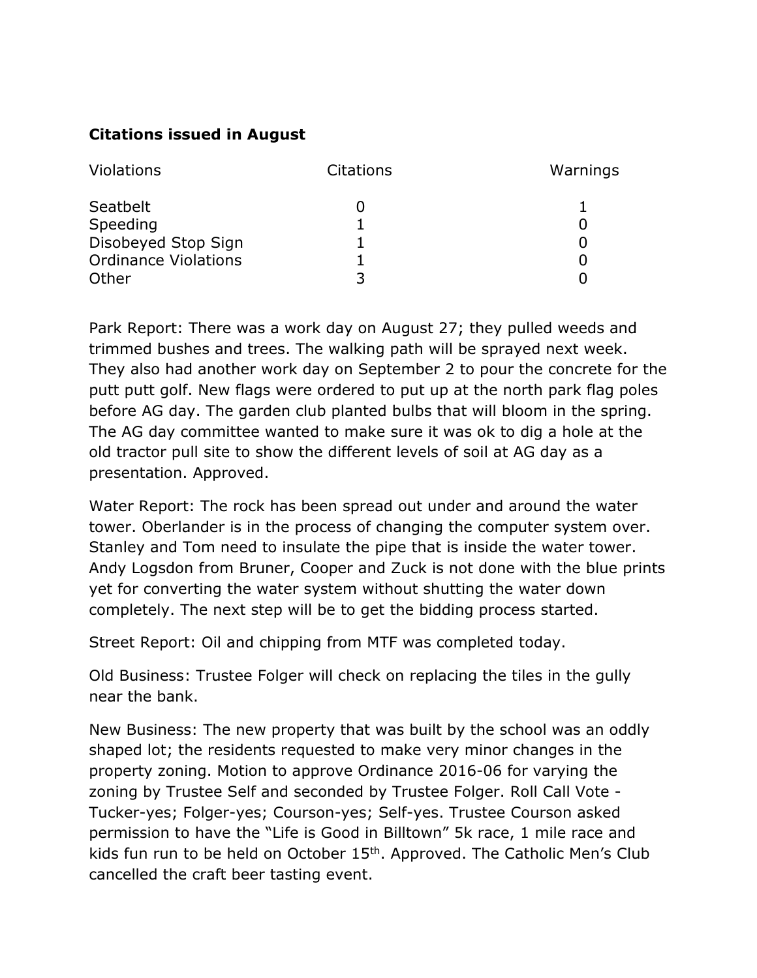# **Citations issued in August**

| Violations                  | <b>Citations</b> | Warnings |
|-----------------------------|------------------|----------|
| Seatbelt                    |                  |          |
| Speeding                    |                  |          |
| Disobeyed Stop Sign         |                  |          |
| <b>Ordinance Violations</b> |                  |          |
| Other                       |                  |          |

Park Report: There was a work day on August 27; they pulled weeds and trimmed bushes and trees. The walking path will be sprayed next week. They also had another work day on September 2 to pour the concrete for the putt putt golf. New flags were ordered to put up at the north park flag poles before AG day. The garden club planted bulbs that will bloom in the spring. The AG day committee wanted to make sure it was ok to dig a hole at the old tractor pull site to show the different levels of soil at AG day as a presentation. Approved.

Water Report: The rock has been spread out under and around the water tower. Oberlander is in the process of changing the computer system over. Stanley and Tom need to insulate the pipe that is inside the water tower. Andy Logsdon from Bruner, Cooper and Zuck is not done with the blue prints yet for converting the water system without shutting the water down completely. The next step will be to get the bidding process started.

Street Report: Oil and chipping from MTF was completed today.

Old Business: Trustee Folger will check on replacing the tiles in the gully near the bank.

New Business: The new property that was built by the school was an oddly shaped lot; the residents requested to make very minor changes in the property zoning. Motion to approve Ordinance 2016-06 for varying the zoning by Trustee Self and seconded by Trustee Folger. Roll Call Vote - Tucker-yes; Folger-yes; Courson-yes; Self-yes. Trustee Courson asked permission to have the "Life is Good in Billtown" 5k race, 1 mile race and kids fun run to be held on October 15<sup>th</sup>. Approved. The Catholic Men's Club cancelled the craft beer tasting event.